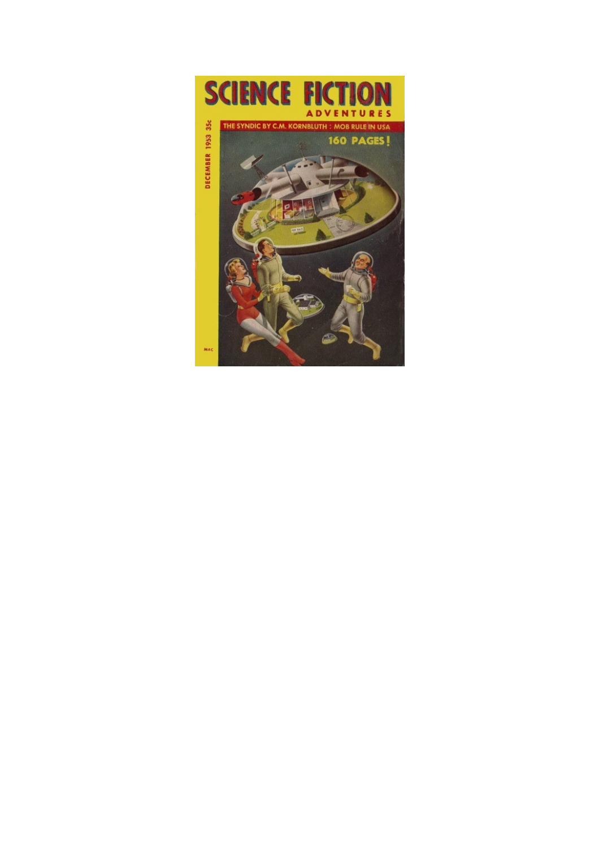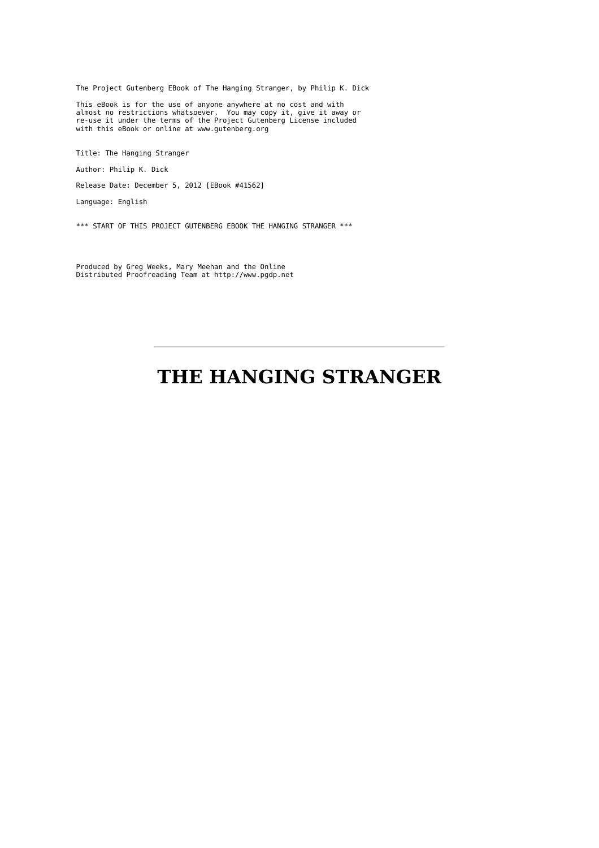The Project Gutenberg EBook of The Hanging Stranger, by Philip K. Dick

This eBook is for the use of anyone anywhere at no cost and with almost no restrictions whatsoever. You may copy it, give it away or re-use it under the terms of the Project Gutenberg License included with this eBook or online at www.gutenberg.org

Title: The Hanging Stranger

Author: Philip K. Dick

Release Date: December 5, 2012 [EBook #41562]

Language: English

\*\*\* START OF THIS PROJECT GUTENBERG EBOOK THE HANGING STRANGER \*\*\*

Produced by Greg Weeks, Mary Meehan and the Online Distributed Proofreading Team at http://www.pgdp.net

# **THE HANGING STRANGER**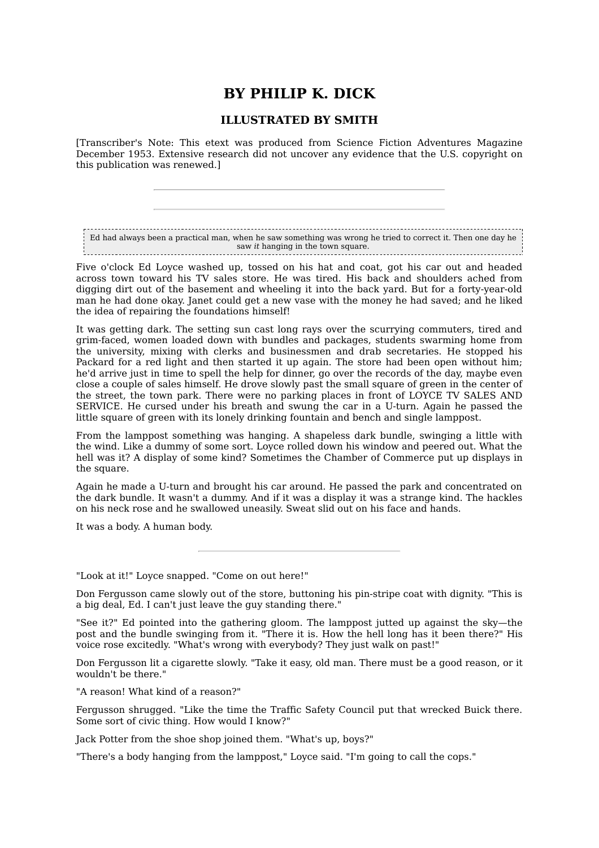## **BY PHILIP K. DICK**

### **ILLUSTRATED BY SMITH**

[Transcriber's Note: This etext was produced from Science Fiction Adventures Magazine December 1953. Extensive research did not uncover any evidence that the U.S. copyright on this publication was renewed.]

Ed had always been a practical man, when he saw something was wrong he tried to correct it. Then one day he saw *it* hanging in the town square.

Five o'clock Ed Loyce washed up, tossed on his hat and coat, got his car out and headed across town toward his TV sales store. He was tired. His back and shoulders ached from digging dirt out of the basement and wheeling it into the back yard. But for a forty-year-old man he had done okay. Janet could get a new vase with the money he had saved; and he liked the idea of repairing the foundations himself!

It was getting dark. The setting sun cast long rays over the scurrying commuters, tired and grim-faced, women loaded down with bundles and packages, students swarming home from the university, mixing with clerks and businessmen and drab secretaries. He stopped his Packard for a red light and then started it up again. The store had been open without him; he'd arrive just in time to spell the help for dinner, go over the records of the day, maybe even close a couple of sales himself. He drove slowly past the small square of green in the center of the street, the town park. There were no parking places in front of LOYCE TV SALES AND SERVICE. He cursed under his breath and swung the car in a U-turn. Again he passed the little square of green with its lonely drinking fountain and bench and single lamppost.

From the lamppost something was hanging. A shapeless dark bundle, swinging a little with the wind. Like a dummy of some sort. Loyce rolled down his window and peered out. What the hell was it? A display of some kind? Sometimes the Chamber of Commerce put up displays in the square.

Again he made a U-turn and brought his car around. He passed the park and concentrated on the dark bundle. It wasn't a dummy. And if it was a display it was a strange kind. The hackles on his neck rose and he swallowed uneasily. Sweat slid out on his face and hands.

It was a body. A human body.

"Look at it!" Loyce snapped. "Come on out here!"

Don Fergusson came slowly out of the store, buttoning his pin-stripe coat with dignity. "This is a big deal, Ed. I can't just leave the guy standing there."

"See it?" Ed pointed into the gathering gloom. The lamppost jutted up against the sky—the post and the bundle swinging from it. "There it is. How the hell long has it been there?" His voice rose excitedly. "What's wrong with everybody? They just walk on past!"

Don Fergusson lit a cigarette slowly. "Take it easy, old man. There must be a good reason, or it wouldn't be there."

"A reason! What kind of a reason?"

Fergusson shrugged. "Like the time the Traffic Safety Council put that wrecked Buick there. Some sort of civic thing. How would I know?"

Jack Potter from the shoe shop joined them. "What's up, boys?"

"There's a body hanging from the lamppost," Loyce said. "I'm going to call the cops."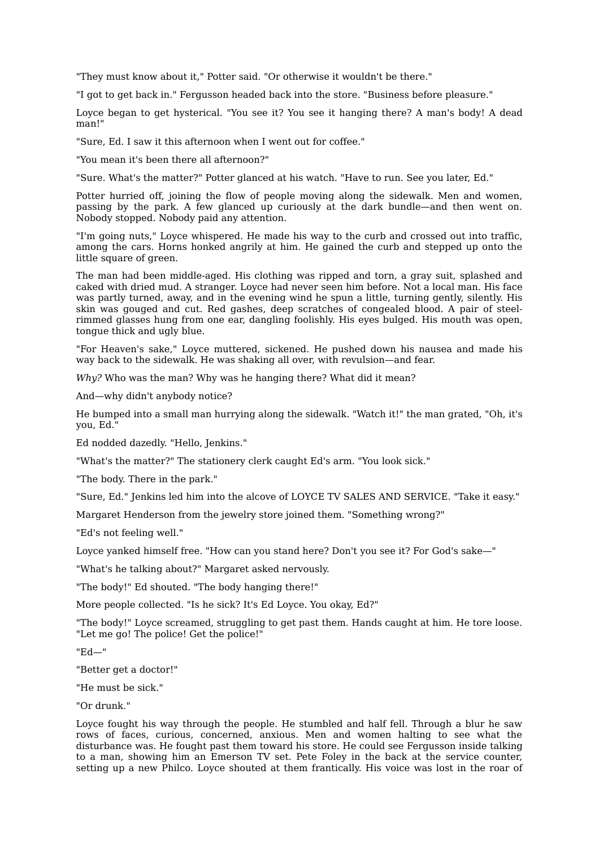"They must know about it," Potter said. "Or otherwise it wouldn't be there."

"I got to get back in." Fergusson headed back into the store. "Business before pleasure."

Loyce began to get hysterical. "You see it? You see it hanging there? A man's body! A dead man!"

"Sure, Ed. I saw it this afternoon when I went out for coffee."

"You mean it's been there all afternoon?"

"Sure. What's the matter?" Potter glanced at his watch. "Have to run. See you later, Ed."

Potter hurried off, joining the flow of people moving along the sidewalk. Men and women, passing by the park. A few glanced up curiously at the dark bundle—and then went on. Nobody stopped. Nobody paid any attention.

"I'm going nuts," Loyce whispered. He made his way to the curb and crossed out into traffic, among the cars. Horns honked angrily at him. He gained the curb and stepped up onto the little square of green.

The man had been middle-aged. His clothing was ripped and torn, a gray suit, splashed and caked with dried mud. A stranger. Loyce had never seen him before. Not a local man. His face was partly turned, away, and in the evening wind he spun a little, turning gently, silently. His skin was gouged and cut. Red gashes, deep scratches of congealed blood. A pair of steelrimmed glasses hung from one ear, dangling foolishly. His eyes bulged. His mouth was open, tongue thick and ugly blue.

"For Heaven's sake," Loyce muttered, sickened. He pushed down his nausea and made his way back to the sidewalk. He was shaking all over, with revulsion—and fear.

*Why?* Who was the man? Why was he hanging there? What did it mean?

And—why didn't anybody notice?

He bumped into a small man hurrying along the sidewalk. "Watch it!" the man grated, "Oh, it's you, Ed."

Ed nodded dazedly. "Hello, Jenkins."

"What's the matter?" The stationery clerk caught Ed's arm. "You look sick."

"The body. There in the park."

"Sure, Ed." Jenkins led him into the alcove of LOYCE TV SALES AND SERVICE. "Take it easy."

Margaret Henderson from the jewelry store joined them. "Something wrong?"

"Ed's not feeling well."

Loyce yanked himself free. "How can you stand here? Don't you see it? For God's sake—"

"What's he talking about?" Margaret asked nervously.

"The body!" Ed shouted. "The body hanging there!"

More people collected. "Is he sick? It's Ed Loyce. You okay, Ed?"

"The body!" Loyce screamed, struggling to get past them. Hands caught at him. He tore loose. "Let me go! The police! Get the police!"

"Ed—"

"Better get a doctor!"

"He must be sick."

"Or drunk."

Loyce fought his way through the people. He stumbled and half fell. Through a blur he saw rows of faces, curious, concerned, anxious. Men and women halting to see what the disturbance was. He fought past them toward his store. He could see Fergusson inside talking to a man, showing him an Emerson TV set. Pete Foley in the back at the service counter, setting up a new Philco. Loyce shouted at them frantically. His voice was lost in the roar of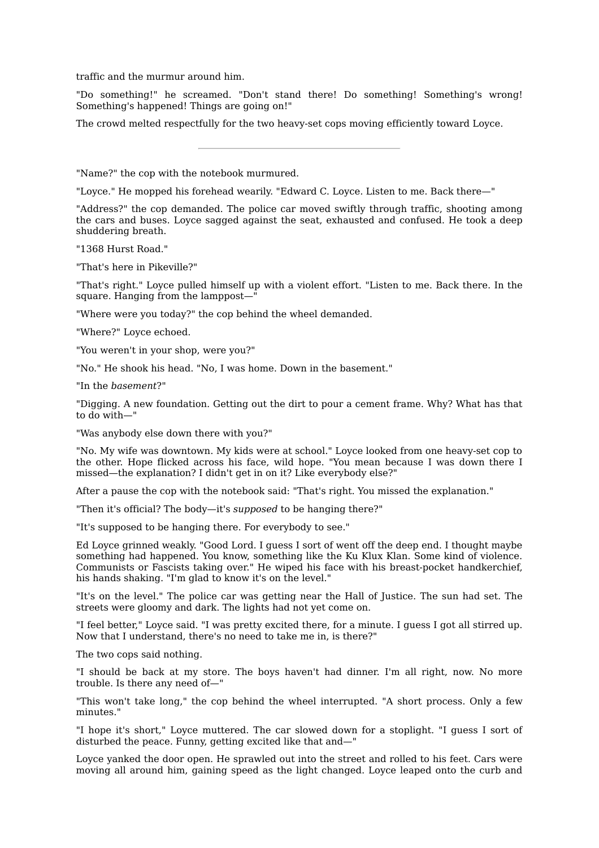traffic and the murmur around him.

"Do something!" he screamed. "Don't stand there! Do something! Something's wrong! Something's happened! Things are going on!"

The crowd melted respectfully for the two heavy-set cops moving efficiently toward Loyce.

"Name?" the cop with the notebook murmured.

"Loyce." He mopped his forehead wearily. "Edward C. Loyce. Listen to me. Back there—"

"Address?" the cop demanded. The police car moved swiftly through traffic, shooting among the cars and buses. Loyce sagged against the seat, exhausted and confused. He took a deep shuddering breath.

"1368 Hurst Road."

"That's here in Pikeville?"

"That's right." Loyce pulled himself up with a violent effort. "Listen to me. Back there. In the square. Hanging from the lamppost—"

"Where were you today?" the cop behind the wheel demanded.

"Where?" Loyce echoed.

"You weren't in your shop, were you?"

"No." He shook his head. "No, I was home. Down in the basement."

"In the *basement*?"

"Digging. A new foundation. Getting out the dirt to pour a cement frame. Why? What has that to do with—"

"Was anybody else down there with you?"

"No. My wife was downtown. My kids were at school." Loyce looked from one heavy-set cop to the other. Hope flicked across his face, wild hope. "You mean because I was down there I missed—the explanation? I didn't get in on it? Like everybody else?"

After a pause the cop with the notebook said: "That's right. You missed the explanation."

"Then it's official? The body—it's *supposed* to be hanging there?"

"It's supposed to be hanging there. For everybody to see."

Ed Loyce grinned weakly. "Good Lord. I guess I sort of went off the deep end. I thought maybe something had happened. You know, something like the Ku Klux Klan. Some kind of violence. Communists or Fascists taking over." He wiped his face with his breast-pocket handkerchief, his hands shaking. "I'm glad to know it's on the level."

"It's on the level." The police car was getting near the Hall of Justice. The sun had set. The streets were gloomy and dark. The lights had not yet come on.

"I feel better," Loyce said. "I was pretty excited there, for a minute. I guess I got all stirred up. Now that I understand, there's no need to take me in, is there?"

The two cops said nothing.

"I should be back at my store. The boys haven't had dinner. I'm all right, now. No more trouble. Is there any need of—"

"This won't take long," the cop behind the wheel interrupted. "A short process. Only a few minutes."

"I hope it's short," Loyce muttered. The car slowed down for a stoplight. "I guess I sort of disturbed the peace. Funny, getting excited like that and—"

Loyce yanked the door open. He sprawled out into the street and rolled to his feet. Cars were moving all around him, gaining speed as the light changed. Loyce leaped onto the curb and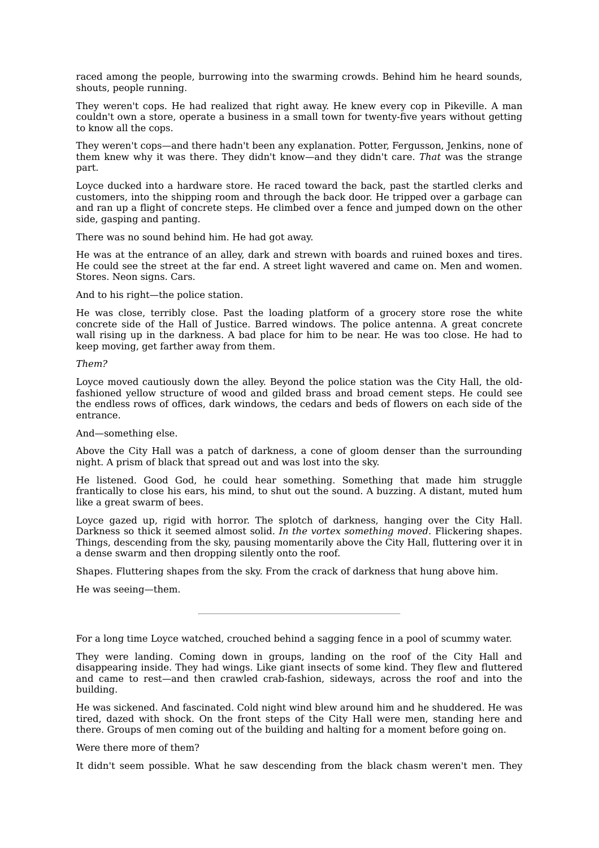raced among the people, burrowing into the swarming crowds. Behind him he heard sounds, shouts, people running.

They weren't cops. He had realized that right away. He knew every cop in Pikeville. A man couldn't own a store, operate a business in a small town for twenty-five years without getting to know all the cops.

They weren't cops—and there hadn't been any explanation. Potter, Fergusson, Jenkins, none of them knew why it was there. They didn't know—and they didn't care. *That* was the strange part.

Loyce ducked into a hardware store. He raced toward the back, past the startled clerks and customers, into the shipping room and through the back door. He tripped over a garbage can and ran up a flight of concrete steps. He climbed over a fence and jumped down on the other side, gasping and panting.

There was no sound behind him. He had got away.

He was at the entrance of an alley, dark and strewn with boards and ruined boxes and tires. He could see the street at the far end. A street light wavered and came on. Men and women. Stores. Neon signs. Cars.

And to his right—the police station.

He was close, terribly close. Past the loading platform of a grocery store rose the white concrete side of the Hall of Justice. Barred windows. The police antenna. A great concrete wall rising up in the darkness. A bad place for him to be near. He was too close. He had to keep moving, get farther away from them.

#### *Them?*

Loyce moved cautiously down the alley. Beyond the police station was the City Hall, the oldfashioned yellow structure of wood and gilded brass and broad cement steps. He could see the endless rows of offices, dark windows, the cedars and beds of flowers on each side of the entrance.

And—something else.

Above the City Hall was a patch of darkness, a cone of gloom denser than the surrounding night. A prism of black that spread out and was lost into the sky.

He listened. Good God, he could hear something. Something that made him struggle frantically to close his ears, his mind, to shut out the sound. A buzzing. A distant, muted hum like a great swarm of bees.

Loyce gazed up, rigid with horror. The splotch of darkness, hanging over the City Hall. Darkness so thick it seemed almost solid. *In the vortex something moved.* Flickering shapes. Things, descending from the sky, pausing momentarily above the City Hall, fluttering over it in a dense swarm and then dropping silently onto the roof.

Shapes. Fluttering shapes from the sky. From the crack of darkness that hung above him.

He was seeing—them.

For a long time Loyce watched, crouched behind a sagging fence in a pool of scummy water.

They were landing. Coming down in groups, landing on the roof of the City Hall and disappearing inside. They had wings. Like giant insects of some kind. They flew and fluttered and came to rest—and then crawled crab-fashion, sideways, across the roof and into the building.

He was sickened. And fascinated. Cold night wind blew around him and he shuddered. He was tired, dazed with shock. On the front steps of the City Hall were men, standing here and there. Groups of men coming out of the building and halting for a moment before going on.

Were there more of them?

It didn't seem possible. What he saw descending from the black chasm weren't men. They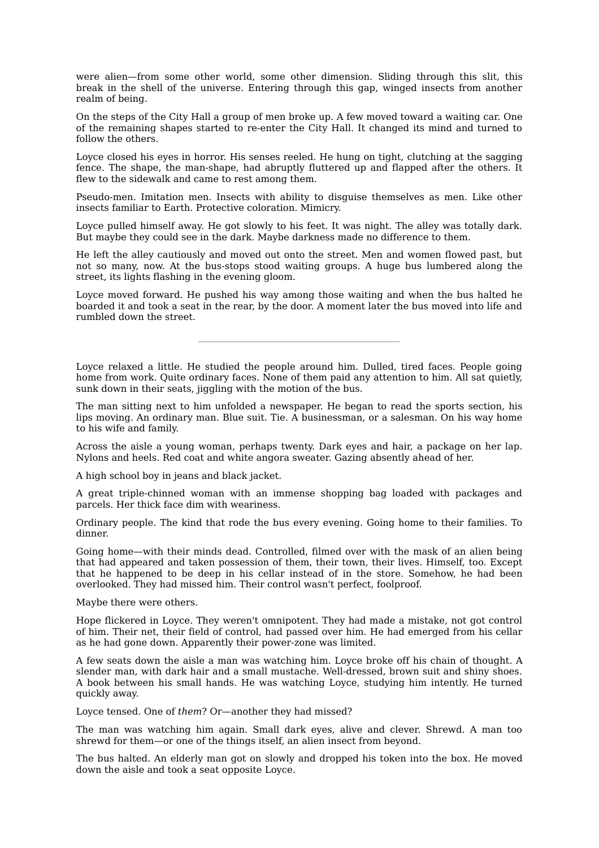were alien—from some other world, some other dimension. Sliding through this slit, this break in the shell of the universe. Entering through this gap, winged insects from another realm of being.

On the steps of the City Hall a group of men broke up. A few moved toward a waiting car. One of the remaining shapes started to re-enter the City Hall. It changed its mind and turned to follow the others.

Loyce closed his eyes in horror. His senses reeled. He hung on tight, clutching at the sagging fence. The shape, the man-shape, had abruptly fluttered up and flapped after the others. It flew to the sidewalk and came to rest among them.

Pseudo-men. Imitation men. Insects with ability to disguise themselves as men. Like other insects familiar to Earth. Protective coloration. Mimicry.

Loyce pulled himself away. He got slowly to his feet. It was night. The alley was totally dark. But maybe they could see in the dark. Maybe darkness made no difference to them.

He left the alley cautiously and moved out onto the street. Men and women flowed past, but not so many, now. At the bus-stops stood waiting groups. A huge bus lumbered along the street, its lights flashing in the evening gloom.

Loyce moved forward. He pushed his way among those waiting and when the bus halted he boarded it and took a seat in the rear, by the door. A moment later the bus moved into life and rumbled down the street.

Loyce relaxed a little. He studied the people around him. Dulled, tired faces. People going home from work. Quite ordinary faces. None of them paid any attention to him. All sat quietly, sunk down in their seats, jiggling with the motion of the bus.

The man sitting next to him unfolded a newspaper. He began to read the sports section, his lips moving. An ordinary man. Blue suit. Tie. A businessman, or a salesman. On his way home to his wife and family.

Across the aisle a young woman, perhaps twenty. Dark eyes and hair, a package on her lap. Nylons and heels. Red coat and white angora sweater. Gazing absently ahead of her.

A high school boy in jeans and black jacket.

A great triple-chinned woman with an immense shopping bag loaded with packages and parcels. Her thick face dim with weariness.

Ordinary people. The kind that rode the bus every evening. Going home to their families. To dinner.

Going home—with their minds dead. Controlled, filmed over with the mask of an alien being that had appeared and taken possession of them, their town, their lives. Himself, too. Except that he happened to be deep in his cellar instead of in the store. Somehow, he had been overlooked. They had missed him. Their control wasn't perfect, foolproof.

Maybe there were others.

Hope flickered in Loyce. They weren't omnipotent. They had made a mistake, not got control of him. Their net, their field of control, had passed over him. He had emerged from his cellar as he had gone down. Apparently their power-zone was limited.

A few seats down the aisle a man was watching him. Loyce broke off his chain of thought. A slender man, with dark hair and a small mustache. Well-dressed, brown suit and shiny shoes. A book between his small hands. He was watching Loyce, studying him intently. He turned quickly away.

Loyce tensed. One of *them*? Or—another they had missed?

The man was watching him again. Small dark eyes, alive and clever. Shrewd. A man too shrewd for them—or one of the things itself, an alien insect from beyond.

The bus halted. An elderly man got on slowly and dropped his token into the box. He moved down the aisle and took a seat opposite Loyce.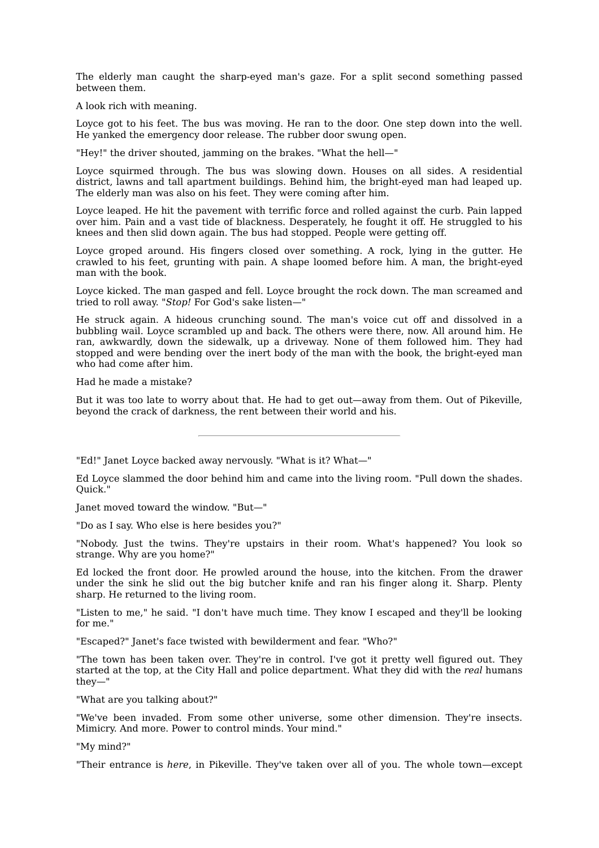The elderly man caught the sharp-eyed man's gaze. For a split second something passed between them.

A look rich with meaning.

Loyce got to his feet. The bus was moving. He ran to the door. One step down into the well. He yanked the emergency door release. The rubber door swung open.

"Hey!" the driver shouted, jamming on the brakes. "What the hell—"

Loyce squirmed through. The bus was slowing down. Houses on all sides. A residential district, lawns and tall apartment buildings. Behind him, the bright-eyed man had leaped up. The elderly man was also on his feet. They were coming after him.

Loyce leaped. He hit the pavement with terrific force and rolled against the curb. Pain lapped over him. Pain and a vast tide of blackness. Desperately, he fought it off. He struggled to his knees and then slid down again. The bus had stopped. People were getting off.

Loyce groped around. His fingers closed over something. A rock, lying in the gutter. He crawled to his feet, grunting with pain. A shape loomed before him. A man, the bright-eyed man with the book.

Loyce kicked. The man gasped and fell. Loyce brought the rock down. The man screamed and tried to roll away. "*Stop!* For God's sake listen—"

He struck again. A hideous crunching sound. The man's voice cut off and dissolved in a bubbling wail. Loyce scrambled up and back. The others were there, now. All around him. He ran, awkwardly, down the sidewalk, up a driveway. None of them followed him. They had stopped and were bending over the inert body of the man with the book, the bright-eyed man who had come after him.

Had he made a mistake?

But it was too late to worry about that. He had to get out—away from them. Out of Pikeville, beyond the crack of darkness, the rent between their world and his.

"Ed!" Janet Loyce backed away nervously. "What is it? What—"

Ed Loyce slammed the door behind him and came into the living room. "Pull down the shades. Quick."

Janet moved toward the window. "But—"

"Do as I say. Who else is here besides you?"

"Nobody. Just the twins. They're upstairs in their room. What's happened? You look so strange. Why are you home?"

Ed locked the front door. He prowled around the house, into the kitchen. From the drawer under the sink he slid out the big butcher knife and ran his finger along it. Sharp. Plenty sharp. He returned to the living room.

"Listen to me," he said. "I don't have much time. They know I escaped and they'll be looking for me."

"Escaped?" Janet's face twisted with bewilderment and fear. "Who?"

"The town has been taken over. They're in control. I've got it pretty well figured out. They started at the top, at the City Hall and police department. What they did with the *real* humans they—"

"What are you talking about?"

"We've been invaded. From some other universe, some other dimension. They're insects. Mimicry. And more. Power to control minds. Your mind."

"My mind?"

"Their entrance is *here*, in Pikeville. They've taken over all of you. The whole town—except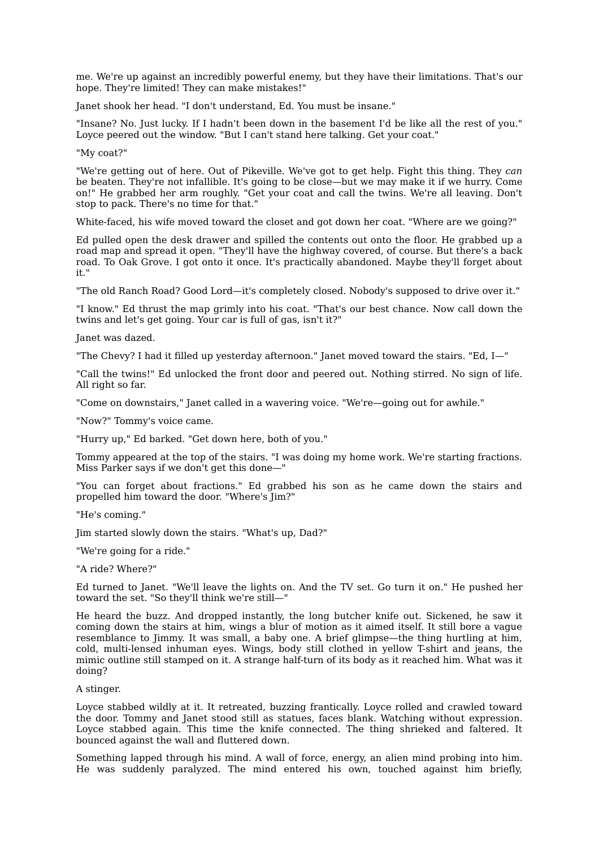me. We're up against an incredibly powerful enemy, but they have their limitations. That's our hope. They're limited! They can make mistakes!"

Janet shook her head. "I don't understand, Ed. You must be insane."

"Insane? No. Just lucky. If I hadn't been down in the basement I'd be like all the rest of you." Loyce peered out the window. "But I can't stand here talking. Get your coat."

"My coat?"

"We're getting out of here. Out of Pikeville. We've got to get help. Fight this thing. They *can* be beaten. They're not infallible. It's going to be close—but we may make it if we hurry. Come on!" He grabbed her arm roughly. "Get your coat and call the twins. We're all leaving. Don't stop to pack. There's no time for that."

White-faced, his wife moved toward the closet and got down her coat. "Where are we going?"

Ed pulled open the desk drawer and spilled the contents out onto the floor. He grabbed up a road map and spread it open. "They'll have the highway covered, of course. But there's a back road. To Oak Grove. I got onto it once. It's practically abandoned. Maybe they'll forget about it."

"The old Ranch Road? Good Lord—it's completely closed. Nobody's supposed to drive over it."

"I know." Ed thrust the map grimly into his coat. "That's our best chance. Now call down the twins and let's get going. Your car is full of gas, isn't it?"

Janet was dazed.

"The Chevy? I had it filled up yesterday afternoon." Janet moved toward the stairs. "Ed, I—"

"Call the twins!" Ed unlocked the front door and peered out. Nothing stirred. No sign of life. All right so far.

"Come on downstairs," Janet called in a wavering voice. "We're—going out for awhile."

"Now?" Tommy's voice came.

"Hurry up," Ed barked. "Get down here, both of you."

Tommy appeared at the top of the stairs. "I was doing my home work. We're starting fractions. Miss Parker says if we don't get this done—"

"You can forget about fractions." Ed grabbed his son as he came down the stairs and propelled him toward the door. "Where's Jim?"

"He's coming."

Jim started slowly down the stairs. "What's up, Dad?"

"We're going for a ride."

"A ride? Where?"

Ed turned to Janet. "We'll leave the lights on. And the TV set. Go turn it on." He pushed her toward the set. "So they'll think we're still—"

He heard the buzz. And dropped instantly, the long butcher knife out. Sickened, he saw it coming down the stairs at him, wings a blur of motion as it aimed itself. It still bore a vague resemblance to Jimmy. It was small, a baby one. A brief glimpse—the thing hurtling at him, cold, multi-lensed inhuman eyes. Wings, body still clothed in yellow T-shirt and jeans, the mimic outline still stamped on it. A strange half-turn of its body as it reached him. What was it doing?

A stinger.

Loyce stabbed wildly at it. It retreated, buzzing frantically. Loyce rolled and crawled toward the door. Tommy and Janet stood still as statues, faces blank. Watching without expression. Loyce stabbed again. This time the knife connected. The thing shrieked and faltered. It bounced against the wall and fluttered down.

Something lapped through his mind. A wall of force, energy, an alien mind probing into him. He was suddenly paralyzed. The mind entered his own, touched against him briefly,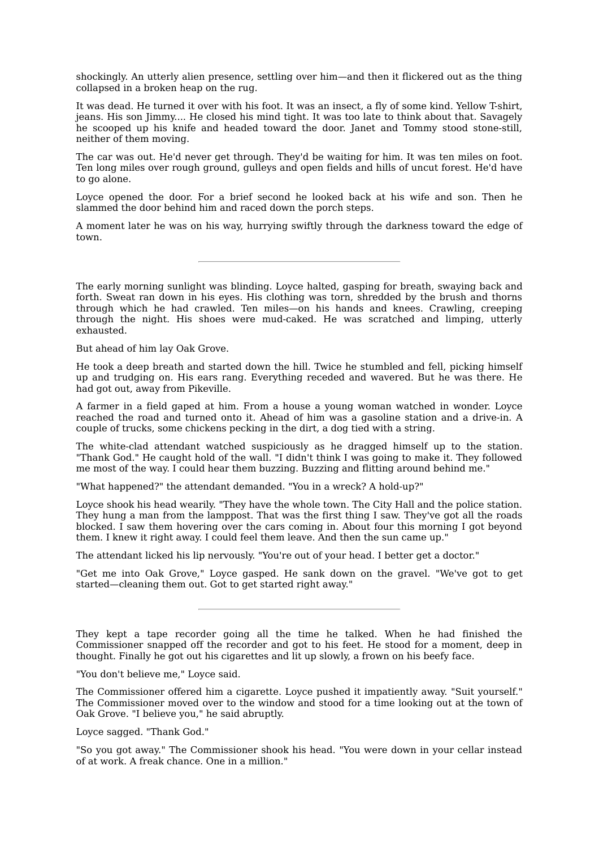shockingly. An utterly alien presence, settling over him—and then it flickered out as the thing collapsed in a broken heap on the rug.

It was dead. He turned it over with his foot. It was an insect, a fly of some kind. Yellow T-shirt, jeans. His son Jimmy.... He closed his mind tight. It was too late to think about that. Savagely he scooped up his knife and headed toward the door. Janet and Tommy stood stone-still, neither of them moving.

The car was out. He'd never get through. They'd be waiting for him. It was ten miles on foot. Ten long miles over rough ground, gulleys and open fields and hills of uncut forest. He'd have to go alone.

Loyce opened the door. For a brief second he looked back at his wife and son. Then he slammed the door behind him and raced down the porch steps.

A moment later he was on his way, hurrying swiftly through the darkness toward the edge of town.

The early morning sunlight was blinding. Loyce halted, gasping for breath, swaying back and forth. Sweat ran down in his eyes. His clothing was torn, shredded by the brush and thorns through which he had crawled. Ten miles—on his hands and knees. Crawling, creeping through the night. His shoes were mud-caked. He was scratched and limping, utterly exhausted.

But ahead of him lay Oak Grove.

He took a deep breath and started down the hill. Twice he stumbled and fell, picking himself up and trudging on. His ears rang. Everything receded and wavered. But he was there. He had got out, away from Pikeville.

A farmer in a field gaped at him. From a house a young woman watched in wonder. Loyce reached the road and turned onto it. Ahead of him was a gasoline station and a drive-in. A couple of trucks, some chickens pecking in the dirt, a dog tied with a string.

The white-clad attendant watched suspiciously as he dragged himself up to the station. "Thank God." He caught hold of the wall. "I didn't think I was going to make it. They followed me most of the way. I could hear them buzzing. Buzzing and flitting around behind me."

"What happened?" the attendant demanded. "You in a wreck? A hold-up?"

Loyce shook his head wearily. "They have the whole town. The City Hall and the police station. They hung a man from the lamppost. That was the first thing I saw. They've got all the roads blocked. I saw them hovering over the cars coming in. About four this morning I got beyond them. I knew it right away. I could feel them leave. And then the sun came up."

The attendant licked his lip nervously. "You're out of your head. I better get a doctor."

"Get me into Oak Grove," Loyce gasped. He sank down on the gravel. "We've got to get started—cleaning them out. Got to get started right away."

They kept a tape recorder going all the time he talked. When he had finished the Commissioner snapped off the recorder and got to his feet. He stood for a moment, deep in thought. Finally he got out his cigarettes and lit up slowly, a frown on his beefy face.

"You don't believe me," Loyce said.

The Commissioner offered him a cigarette. Loyce pushed it impatiently away. "Suit yourself." The Commissioner moved over to the window and stood for a time looking out at the town of Oak Grove. "I believe you," he said abruptly.

Loyce sagged. "Thank God."

"So you got away." The Commissioner shook his head. "You were down in your cellar instead of at work. A freak chance. One in a million."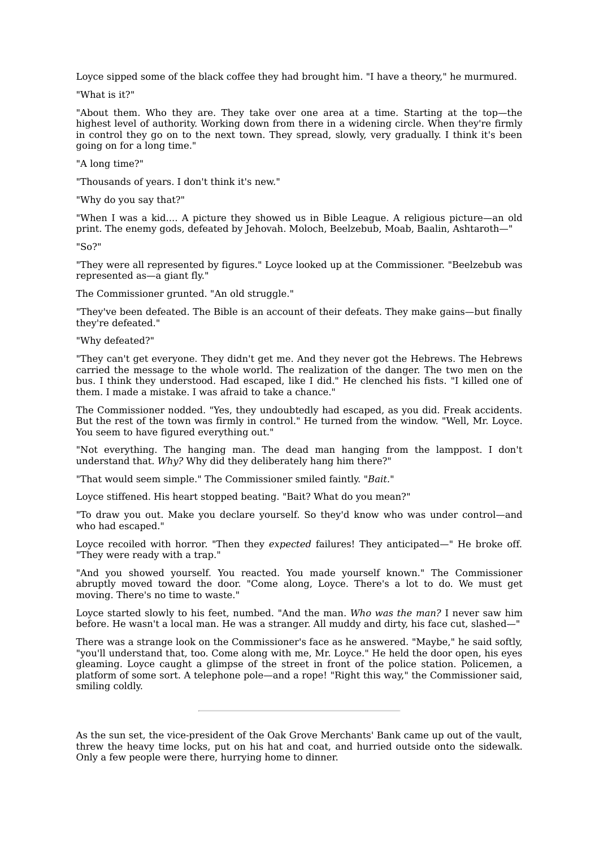Loyce sipped some of the black coffee they had brought him. "I have a theory," he murmured.

"What is it?"

"About them. Who they are. They take over one area at a time. Starting at the top—the highest level of authority. Working down from there in a widening circle. When they're firmly in control they go on to the next town. They spread, slowly, very gradually. I think it's been going on for a long time."

"A long time?"

"Thousands of years. I don't think it's new."

"Why do you say that?"

"When I was a kid.... A picture they showed us in Bible League. A religious picture—an old print. The enemy gods, defeated by Jehovah. Moloch, Beelzebub, Moab, Baalin, Ashtaroth—"

 $"S_0"$ 

"They were all represented by figures." Loyce looked up at the Commissioner. "Beelzebub was represented as—a giant fly."

The Commissioner grunted. "An old struggle."

"They've been defeated. The Bible is an account of their defeats. They make gains—but finally they're defeated."

"Why defeated?"

"They can't get everyone. They didn't get me. And they never got the Hebrews. The Hebrews carried the message to the whole world. The realization of the danger. The two men on the bus. I think they understood. Had escaped, like I did." He clenched his fists. "I killed one of them. I made a mistake. I was afraid to take a chance."

The Commissioner nodded. "Yes, they undoubtedly had escaped, as you did. Freak accidents. But the rest of the town was firmly in control." He turned from the window. "Well, Mr. Loyce. You seem to have figured everything out."

"Not everything. The hanging man. The dead man hanging from the lamppost. I don't understand that. *Why?* Why did they deliberately hang him there?"

"That would seem simple." The Commissioner smiled faintly. "*Bait.*"

Loyce stiffened. His heart stopped beating. "Bait? What do you mean?"

"To draw you out. Make you declare yourself. So they'd know who was under control—and who had escaped."

Loyce recoiled with horror. "Then they *expected* failures! They anticipated—" He broke off. "They were ready with a trap."

"And you showed yourself. You reacted. You made yourself known." The Commissioner abruptly moved toward the door. "Come along, Loyce. There's a lot to do. We must get moving. There's no time to waste."

Loyce started slowly to his feet, numbed. "And the man. *Who was the man?* I never saw him before. He wasn't a local man. He was a stranger. All muddy and dirty, his face cut, slashed—"

There was a strange look on the Commissioner's face as he answered. "Maybe," he said softly, "you'll understand that, too. Come along with me, Mr. Loyce." He held the door open, his eyes gleaming. Loyce caught a glimpse of the street in front of the police station. Policemen, a platform of some sort. A telephone pole—and a rope! "Right this way," the Commissioner said, smiling coldly.

As the sun set, the vice-president of the Oak Grove Merchants' Bank came up out of the vault, threw the heavy time locks, put on his hat and coat, and hurried outside onto the sidewalk. Only a few people were there, hurrying home to dinner.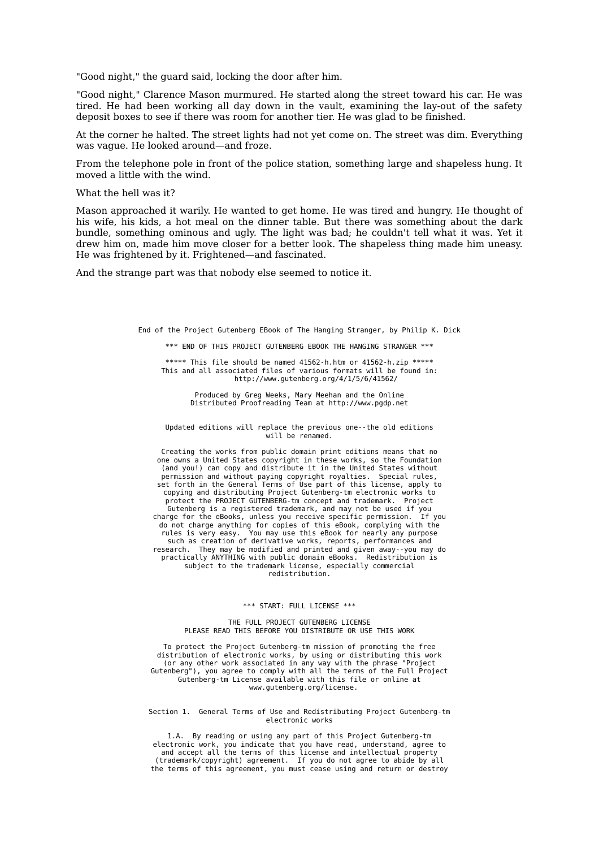"Good night," the guard said, locking the door after him.

"Good night," Clarence Mason murmured. He started along the street toward his car. He was tired. He had been working all day down in the vault, examining the lay-out of the safety deposit boxes to see if there was room for another tier. He was glad to be finished.

At the corner he halted. The street lights had not yet come on. The street was dim. Everything was vague. He looked around—and froze.

From the telephone pole in front of the police station, something large and shapeless hung. It moved a little with the wind.

What the hell was it?

Mason approached it warily. He wanted to get home. He was tired and hungry. He thought of his wife, his kids, a hot meal on the dinner table. But there was something about the dark bundle, something ominous and ugly. The light was bad; he couldn't tell what it was. Yet it drew him on, made him move closer for a better look. The shapeless thing made him uneasy. He was frightened by it. Frightened—and fascinated.

And the strange part was that nobody else seemed to notice it.

End of the Project Gutenberg EBook of The Hanging Stranger, by Philip K. Dick

\*\*\* END OF THIS PROJECT GUTENBERG EBOOK THE HANGING STRANGER \*\*\*

\*\*\*\*\* This file should be named  $41562-h.htm$  or  $41562-hzip$  \*\* This and all associated files of various formats will be found in: http://www.gutenberg.org/4/1/5/6/41562/

> Produced by Greg Weeks, Mary Meehan and the Online Distributed Proofreading Team at http://www.pgdp.net

Updated editions will replace the previous one--the old editions will be renamed.

Creating the works from public domain print editions means that no one owns a United States copyright in these works, so the Foundation (and you!) can copy and distribute it in the United States without permission and without paying copyright royalties. Special rules, set forth in the General Terms of Use part of this license, apply to copying and distributing Project Gutenberg-tm electronic works to protect the PROJECT GUTENBERG-tm concept and trademark. Project Gutenberg is a registered trademark, and may not be used if you charge for the eBooks, unless you receive specific permission. do not charge anything for copies of this eBook, complying with the rules is very easy. You may use this eBook for nearly any purpose such as creation of derivative works, reports, performances and research. They may be modified and printed and given away--you may do practically ANYTHING with public domain eBooks. Redistribution is subject to the trademark license, especially commercial redistribution.

#### \*\*\* START: FULL LICENSE \*\*\*

#### THE FULL PROJECT GUTENBERG LICENSE PLEASE READ THIS BEFORE YOU DISTRIBUTE OR USE THIS WORK

To protect the Project Gutenberg-tm mission of promoting the free distribution of electronic works, by using or distributing this work (or any other work associated in any way with the phrase "Project Gutenberg"), you agree to comply with all the terms of the Full Project Gutenberg-tm License available with this file or online at www.gutenberg.org/license.

#### Section 1. General Terms of Use and Redistributing Project Gutenberg-tm electronic works

1.A. By reading or using any part of this Project Gutenberg-tm electronic work, you indicate that you have read, understand, agree to and accept all the terms of this license and intellectual property (trademark/copyright) agreement. If you do not agree to abide by all the terms of this agreement, you must cease using and return or destroy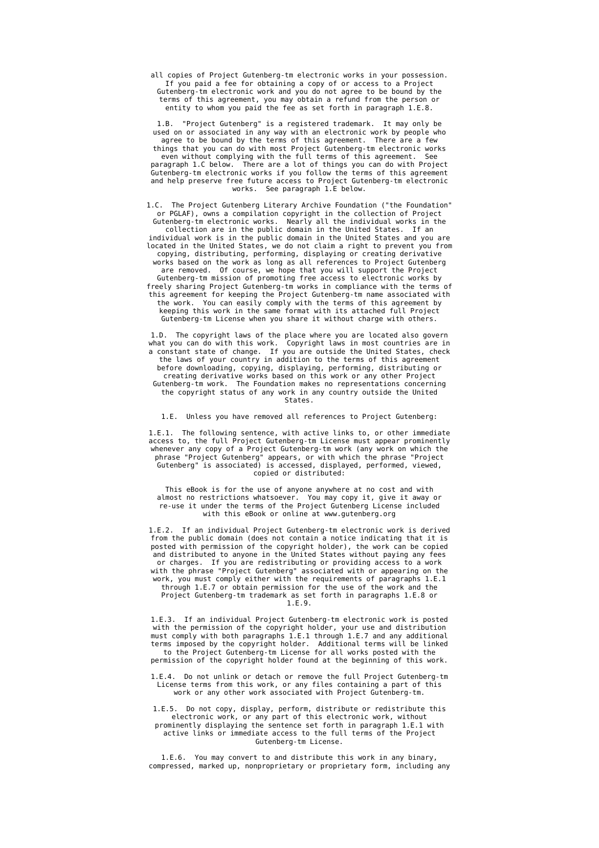all copies of Project Gutenberg-tm electronic works in your possession. If you paid a fee for obtaining a copy of or access to a Project Gutenberg-tm electronic work and you do not agree to be bound by the terms of this agreement, you may obtain a refund from the person or entity to whom you paid the fee as set forth in paragraph 1.E.8.

1.B. "Project Gutenberg" is a registered trademark. It may only be used on or associated in any way with an electronic work by people who agree to be bound by the terms of this agreement. There are a few things that you can do with most Project Gutenberg-tm electronic works even without complying with the full terms of this agreement. See paragraph 1.C below. There are a lot of things you can do with Project Gutenberg-tm electronic works if you follow the terms of this agreement and help preserve free future access to Project Gutenberg-tm electronic works. See paragraph 1.E below.

1.C. The Project Gutenberg Literary Archive Foundation ("the Foundation" or PGLAF), owns a compilation copyright in the collection of Project Gutenberg-tm electronic works. Nearly all the individual works in the collection are in the public domain in the United States. If an individual work is in the public domain in the United States and you are located in the United States, we do not claim a right to prevent you from copying, distributing, performing, displaying or creating derivative works based on the work as long as all references to Project Gutenberg are removed. Of course, we hope that you will support the Project Gutenberg-tm mission of promoting free access to electronic works by freely sharing Project Gutenberg-tm works in compliance with the terms of this agreement for keeping the Project Gutenberg-tm name associated with the work. You can easily comply with the terms of this agreement by keeping this work in the same format with its attached full Project Gutenberg-tm License when you share it without charge with others.

1.D. The copyright laws of the place where you are located also govern what you can do with this work. Copyright laws in most countries are in a constant state of change. If you are outside the United States, check the laws of your country in addition to the terms of this agreement before downloading, copying, displaying, performing, distributing or creating derivative works based on this work or any other Project Gutenberg-tm work. The Foundation makes no representations concerning the copyright status of any work in any country outside the United States.

1.E. Unless you have removed all references to Project Gutenberg:

1.E.1. The following sentence, with active links to, or other immediate access to, the full Project Gutenberg-tm License must appear prominently whenever any copy of a Project Gutenberg-tm work (any work on which the phrase "Project Gutenberg" appears, or with which the phrase "Project Gutenberg" is associated) is accessed, displayed, performed, viewed, copied or distributed:

This eBook is for the use of anyone anywhere at no cost and with almost no restrictions whatsoever. You may copy it, give it away or re-use it under the terms of the Project Gutenberg License included with this eBook or online at www.gutenberg.org

1.E.2. If an individual Project Gutenberg-tm electronic work is derived from the public domain (does not contain a notice indicating that it is posted with permission of the copyright holder), the work can be copied and distributed to anyone in the United States without paying any fees or charges. If you are redistributing or providing access to a work with the phrase "Project Gutenberg" associated with or appearing on the work, you must comply either with the requirements of paragraphs 1.E.1 through 1.E.7 or obtain permission for the use of the work and the Project Gutenberg-tm trademark as set forth in paragraphs 1.E.8 or 1.E.9.

1.E.3. If an individual Project Gutenberg-tm electronic work is posted with the permission of the copyright holder, your use and distribution must comply with both paragraphs 1.E.1 through 1.E.7 and any additional terms imposed by the copyright holder. Additional terms will be linked to the Project Gutenberg-tm License for all works posted with the permission of the copyright holder found at the beginning of this work.

1.E.4. Do not unlink or detach or remove the full Project Gutenberg-tm License terms from this work, or any files containing a part of this work or any other work associated with Project Gutenberg-tm.

1.E.5. Do not copy, display, perform, distribute or redistribute this electronic work, or any part of this electronic work, without prominently displaying the sentence set forth in paragraph 1.E.1 with active links or immediate access to the full terms of the Project Gutenberg-tm License.

1.E.6. You may convert to and distribute this work in any binary, compressed, marked up, nonproprietary or proprietary form, including any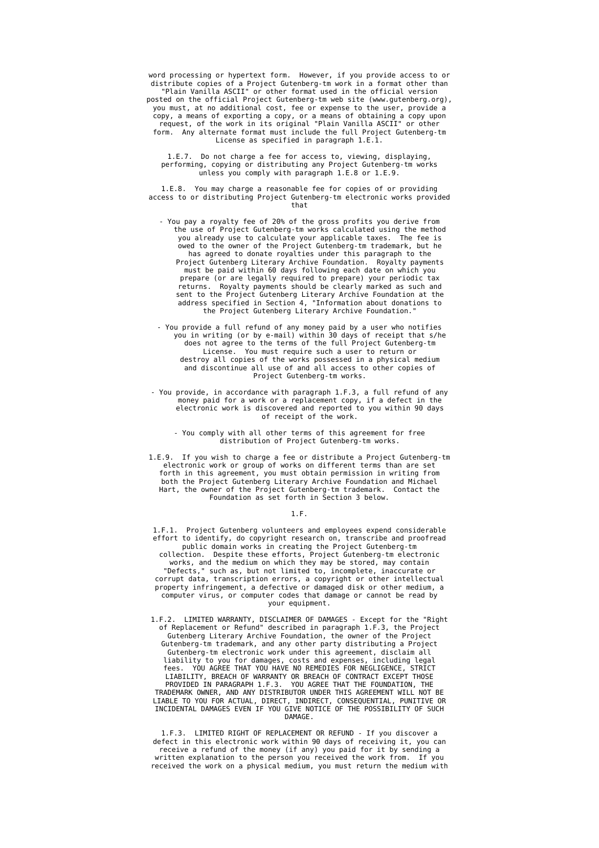word processing or hypertext form. However, if you provide access to or distribute copies of a Project Gutenberg-tm work in a format other than "Plain Vanilla ASCII" or other format used in the official version posted on the official Project Gutenberg-tm web site (www.gutenberg.org), you must, at no additional cost, fee or expense to the user, provide a copy, a means of exporting a copy, or a means of obtaining a copy upon request, of the work in its original "Plain Vanilla ASCII" or other form. Any alternate format must include the full Project Gutenberg-tm License as specified in paragraph 1.E.1.

1.E.7. Do not charge a fee for access to, viewing, displaying, performing, copying or distributing any Project Gutenberg-tm works unless you comply with paragraph 1.E.8 or 1.E.9.

1.E.8. You may charge a reasonable fee for copies of or providing access to or distributing Project Gutenberg-tm electronic works provided that

- You pay a royalty fee of 20% of the gross profits you derive from the use of Project Gutenberg-tm works calculated using the method you already use to calculate your applicable taxes. owed to the owner of the Project Gutenberg-tm trademark, but he has agreed to donate royalties under this paragraph to the Project Gutenberg Literary Archive Foundation. Royalty payments must be paid within 60 days following each date on which you prepare (or are legally required to prepare) your periodic tax returns. Royalty payments should be clearly marked as such and sent to the Project Gutenberg Literary Archive Foundation at the address specified in Section 4, "Information about donations to the Project Gutenberg Literary Archive Foundation."

- You provide a full refund of any money paid by a user who notifies you in writing (or by e-mail) within 30 days of receipt that s/he does not agree to the terms of the full Project Gutenberg-tm License. You must require such a user to return or destroy all copies of the works possessed in a physical medium and discontinue all use of and all access to other copies of Project Gutenberg-tm works.

- You provide, in accordance with paragraph 1.F.3, a full refund of any money paid for a work or a replacement copy, if a defect in the electronic work is discovered and reported to you within 90 days of receipt of the work.

- You comply with all other terms of this agreement for free distribution of Project Gutenberg-tm works.

1.E.9. If you wish to charge a fee or distribute a Project Gutenberg-tm electronic work or group of works on different terms than are set forth in this agreement, you must obtain permission in writing from both the Project Gutenberg Literary Archive Foundation and Michael Hart, the owner of the Project Gutenberg-tm trademark. Contact the Foundation as set forth in Section 3 below.

#### 1.F.

1.F.1. Project Gutenberg volunteers and employees expend considerable effort to identify, do copyright research on, transcribe and proofread public domain works in creating the Project Gutenberg-tm collection. Despite these efforts, Project Gutenberg-tm electronic works, and the medium on which they may be stored, may contain "Defects," such as, but not limited to, incomplete, inaccurate or corrupt data, transcription errors, a copyright or other intellectual property infringement, a defective or damaged disk or other medium, a computer virus, or computer codes that damage or cannot be read by your equipment.

1.F.2. LIMITED WARRANTY, DISCLAIMER OF DAMAGES - Except for the "Right of Replacement or Refund" described in paragraph 1.F.3, the Project Gutenberg Literary Archive Foundation, the owner of the Project Gutenberg-tm trademark, and any other party distributing a Project Gutenberg-tm electronic work under this agreement, disclaim all liability to you for damages, costs and expenses, including legal fees. YOU AGREE THAT YOU HAVE NO REMEDIES FOR NEGLIGENCE, STRICT LIABILITY, BREACH OF WARRANTY OR BREACH OF CONTRACT EXCEPT THOSE PROVIDED IN PARAGRAPH 1.F.3. YOU AGREE THAT THE FOUNDATION, THE TRADEMARK OWNER, AND ANY DISTRIBUTOR UNDER THIS AGREEMENT WILL NOT BE LIABLE TO YOU FOR ACTUAL, DIRECT, INDIRECT, CONSEQUENTIAL, PUNITIVE OR INCIDENTAL DAMAGES EVEN IF YOU GIVE NOTICE OF THE POSSIBILITY OF SUCH DAMAGE.

1.F.3. LIMITED RIGHT OF REPLACEMENT OR REFUND - If you discover a defect in this electronic work within 90 days of receiving it, you can receive a refund of the money (if any) you paid for it by sending a written explanation to the person you received the work from. If you received the work on a physical medium, you must return the medium with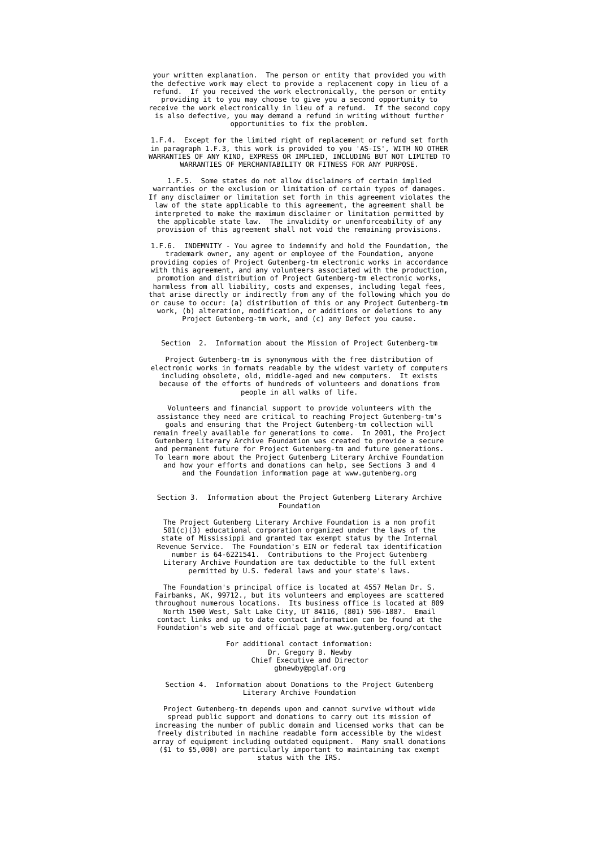your written explanation. The person or entity that provided you with the defective work may elect to provide a replacement copy in lieu of a refund. If you received the work electronically, the person or entity providing it to you may choose to give you a second opportunity to receive the work electronically in lieu of a refund. If the second copy is also defective, you may demand a refund in writing without further

opportunities to fix the problem.

1.F.4. Except for the limited right of replacement or refund set forth in paragraph 1.F.3, this work is provided to you 'AS-IS', WITH NO OTHER WARRANTIES OF ANY KIND, EXPRESS OR IMPLIED, INCLUDING BUT NOT LIMITED TO WARRANTIES OF MERCHANTABILITY OR FITNESS FOR ANY PURPOSE.

1.F.5. Some states do not allow disclaimers of certain implied warranties or the exclusion or limitation of certain types of damages. If any disclaimer or limitation set forth in this agreement violates the law of the state applicable to this agreement, the agreement shall be interpreted to make the maximum disclaimer or limitation permitted by the applicable state law. The invalidity or unenforceability of any provision of this agreement shall not void the remaining provisions.

1.F.6. INDEMNITY - You agree to indemnify and hold the Foundation, the trademark owner, any agent or employee of the Foundation, anyone providing copies of Project Gutenberg-tm electronic works in accordance with this agreement, and any volunteers associated with the production, promotion and distribution of Project Gutenberg-tm electronic works, harmless from all liability, costs and expenses, including legal fees, that arise directly or indirectly from any of the following which you do or cause to occur: (a) distribution of this or any Project Gutenberg-tm work, (b) alteration, modification, or additions or deletions to any Project Gutenberg-tm work, and (c) any Defect you cause.

#### Section 2. Information about the Mission of Project Gutenberg-tm

Project Gutenberg-tm is synonymous with the free distribution of electronic works in formats readable by the widest variety of computers including obsolete, old, middle-aged and new computers. It exists because of the efforts of hundreds of volunteers and donations from people in all walks of life.

Volunteers and financial support to provide volunteers with the assistance they need are critical to reaching Project Gutenberg-tm's goals and ensuring that the Project Gutenberg-tm collection will remain freely available for generations to come. In 2001, the Project Gutenberg Literary Archive Foundation was created to provide a secure and permanent future for Project Gutenberg-tm and future generations. To learn more about the Project Gutenberg Literary Archive Foundation and how your efforts and donations can help, see Sections 3 and 4 and the Foundation information page at www.gutenberg.org

#### Section 3. Information about the Project Gutenberg Literary Archive Foundation

The Project Gutenberg Literary Archive Foundation is a non profit 501(c)(3) educational corporation organized under the laws of the state of Mississippi and granted tax exempt status by the Internal Revenue Service. The Foundation's EIN or federal tax identification number is 64-6221541. Contributions to the Project Gutenberg Literary Archive Foundation are tax deductible to the full extent permitted by U.S. federal laws and your state's laws.

The Foundation's principal office is located at 4557 Melan Dr. S. Fairbanks, AK, 99712., but its volunteers and employees are scattered throughout numerous locations. Its business office is located at 809 North 1500 West, Salt Lake City, UT 84116, (801) 596-1887. Email contact links and up to date contact information can be found at the Foundation's web site and official page at www.gutenberg.org/contact

> For additional contact information: Dr. Gregory B. Newby Chief Executive and Director gbnewby@pglaf.org

#### Section 4. Information about Donations to the Project Gutenberg Literary Archive Foundation

Project Gutenberg-tm depends upon and cannot survive without wide spread public support and donations to carry out its mission of increasing the number of public domain and licensed works that can be freely distributed in machine readable form accessible by the widest array of equipment including outdated equipment. Many small donations (\$1 to \$5,000) are particularly important to maintaining tax exempt status with the IRS.